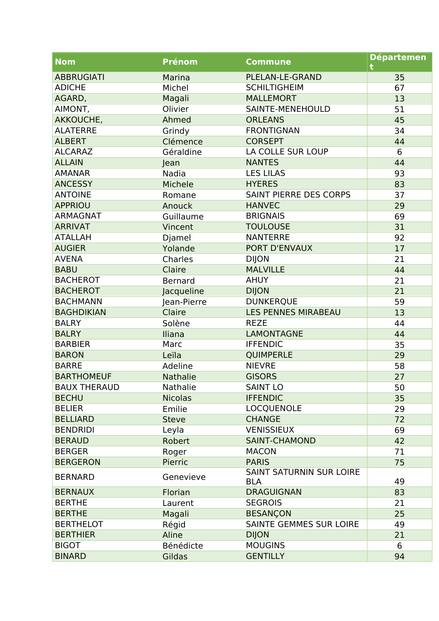| <b>Nom</b>          | <b>Prénom</b>   | <b>Commune</b>                                | <b>Départemen</b> |
|---------------------|-----------------|-----------------------------------------------|-------------------|
| <b>ABBRUGIATI</b>   | Marina          | PLELAN-LE-GRAND                               | 35                |
| <b>ADICHE</b>       | Michel          | <b>SCHILTIGHEIM</b>                           | 67                |
| AGARD,              | Magali          | <b>MALLEMORT</b>                              | 13                |
| AIMONT,             | Olivier         | SAINTE-MENEHOULD                              | 51                |
| AKKOUCHE,           | Ahmed           | <b>ORLEANS</b>                                | 45                |
| <b>ALATERRE</b>     | Grindy          | <b>FRONTIGNAN</b>                             | 34                |
| <b>ALBERT</b>       | Clémence        | <b>CORSEPT</b>                                | 44                |
| <b>ALCARAZ</b>      | Géraldine       | LA COLLE SUR LOUP                             | 6                 |
| <b>ALLAIN</b>       | Jean            | <b>NANTES</b>                                 | 44                |
| <b>AMANAR</b>       | Nadia           | <b>LES LILAS</b>                              | 93                |
| <b>ANCESSY</b>      | Michele         | <b>HYERES</b>                                 | 83                |
| <b>ANTOINE</b>      | Romane          | SAINT PIERRE DES CORPS                        | 37                |
| <b>APPRIOU</b>      | Anouck          | <b>HANVEC</b>                                 | 29                |
| <b>ARMAGNAT</b>     | Guillaume       | <b>BRIGNAIS</b>                               | 69                |
| <b>ARRIVAT</b>      | Vincent         | <b>TOULOUSE</b>                               | 31                |
| <b>ATALLAH</b>      | Djamel          | <b>NANTERRE</b>                               | 92                |
| <b>AUGIER</b>       | Yolande         | PORT D'ENVAUX                                 | 17                |
| <b>AVENA</b>        | Charles         | <b>DIJON</b>                                  | 21                |
| <b>BABU</b>         | Claire          | <b>MALVILLE</b>                               | 44                |
| <b>BACHEROT</b>     | <b>Bernard</b>  | <b>AHUY</b>                                   | 21                |
| <b>BACHEROT</b>     | Jacqueline      | <b>DIJON</b>                                  | 21                |
| <b>BACHMANN</b>     | Jean-Pierre     | <b>DUNKERQUE</b>                              | 59                |
| <b>BAGHDIKIAN</b>   | Claire          | <b>LES PENNES MIRABEAU</b>                    | 13                |
| <b>BALRY</b>        | Solène          | <b>REZE</b>                                   | 44                |
| <b>BALRY</b>        | Iliana          | <b>LAMONTAGNE</b>                             | 44                |
| <b>BARBIER</b>      | Marc            | <b>IFFENDIC</b>                               | 35                |
| <b>BARON</b>        | Leïla           | <b>QUIMPERLE</b>                              | 29                |
| <b>BARRE</b>        | Adeline         | <b>NIEVRE</b>                                 | 58                |
| <b>BARTHOMEUF</b>   | <b>Nathalie</b> | <b>GISORS</b>                                 | 27                |
| <b>BAUX THERAUD</b> | <b>Nathalie</b> | SAINT LO                                      | 50                |
| <b>BECHU</b>        | <b>Nicolas</b>  | <b>IFFENDIC</b>                               | 35                |
| <b>BELIER</b>       | Emilie          | LOCQUENOLE                                    | 29                |
| <b>BELLIARD</b>     | <b>Steve</b>    | <b>CHANGE</b>                                 | 72                |
| <b>BENDRIDI</b>     | Leyla           | <b>VENISSIEUX</b>                             | 69                |
| <b>BERAUD</b>       | Robert          | <b>SAINT-CHAMOND</b>                          | 42                |
| <b>BERGER</b>       | Roger           | <b>MACON</b>                                  | 71                |
| <b>BERGERON</b>     | Pierric         | <b>PARIS</b>                                  | 75                |
| <b>BERNARD</b>      | Genevieve       | <b>SAINT SATURNIN SUR LOIRE</b><br><b>BLA</b> | 49                |
| <b>BERNAUX</b>      | Florian         | <b>DRAGUIGNAN</b>                             | 83                |
| <b>BERTHE</b>       | Laurent         | <b>SEGROIS</b>                                | 21                |
| <b>BERTHE</b>       | Magali          | <b>BESANÇON</b>                               | 25                |
| <b>BERTHELOT</b>    | Régid           | SAINTE GEMMES SUR LOIRE                       | 49                |
| <b>BERTHIER</b>     | Aline           | <b>DIJON</b>                                  | 21                |
| <b>BIGOT</b>        | Bénédicte       | <b>MOUGINS</b>                                | 6                 |
| <b>BINARD</b>       | Gildas          | <b>GENTILLY</b>                               | 94                |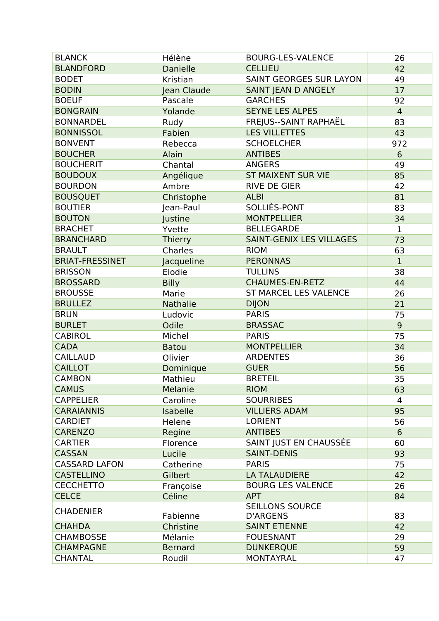| <b>BLANCK</b>          | Hélène          | <b>BOURG-LES-VALENCE</b>                  | 26             |
|------------------------|-----------------|-------------------------------------------|----------------|
| <b>BLANDFORD</b>       | <b>Danielle</b> | <b>CELLIEU</b>                            | 42             |
| <b>BODET</b>           | Kristian        | <b>SAINT GEORGES SUR LAYON</b>            | 49             |
| <b>BODIN</b>           | Jean Claude     | SAINT JEAN D ANGELY                       | 17             |
| <b>BOEUF</b>           | Pascale         | <b>GARCHES</b>                            | 92             |
| <b>BONGRAIN</b>        | Yolande         | <b>SEYNE LES ALPES</b>                    | $\overline{4}$ |
| <b>BONNARDEL</b>       | Rudy            | FREJUS--SAINT RAPHAËL                     | 83             |
| <b>BONNISSOL</b>       | Fabien          | <b>LES VILLETTES</b>                      | 43             |
| <b>BONVENT</b>         | Rebecca         | <b>SCHOELCHER</b>                         | 972            |
| <b>BOUCHER</b>         | Alain           | <b>ANTIBES</b>                            | 6              |
| <b>BOUCHERIT</b>       | Chantal         | <b>ANGERS</b>                             | 49             |
| <b>BOUDOUX</b>         | Angélique       | <b>ST MAIXENT SUR VIE</b>                 | 85             |
| <b>BOURDON</b>         | Ambre           | <b>RIVE DE GIER</b>                       | 42             |
| <b>BOUSQUET</b>        | Christophe      | <b>ALBI</b>                               | 81             |
| <b>BOUTIER</b>         | Jean-Paul       | SOLLIÈS-PONT                              | 83             |
| <b>BOUTON</b>          | Justine         | <b>MONTPELLIER</b>                        | 34             |
| <b>BRACHET</b>         | Yvette          | <b>BELLEGARDE</b>                         | $\mathbf 1$    |
| <b>BRANCHARD</b>       | <b>Thierry</b>  | SAINT-GENIX LES VILLAGES                  | 73             |
| <b>BRAULT</b>          | Charles         | <b>RIOM</b>                               | 63             |
| <b>BRIAT-FRESSINET</b> | Jacqueline      | <b>PERONNAS</b>                           | $\mathbf{1}$   |
| <b>BRISSON</b>         | Elodie          | <b>TULLINS</b>                            | 38             |
| <b>BROSSARD</b>        | <b>Billy</b>    | <b>CHAUMES-EN-RETZ</b>                    | 44             |
| <b>BROUSSE</b>         | Marie           | <b>ST MARCEL LES VALENCE</b>              | 26             |
| <b>BRULLEZ</b>         | <b>Nathalie</b> | <b>DIJON</b>                              | 21             |
| <b>BRUN</b>            | Ludovic         | <b>PARIS</b>                              | 75             |
| <b>BURLET</b>          | Odile           | <b>BRASSAC</b>                            | $\overline{9}$ |
| <b>CABIROL</b>         | Michel          | <b>PARIS</b>                              | 75             |
| <b>CADA</b>            | <b>Batou</b>    | <b>MONTPELLIER</b>                        | 34             |
| <b>CAILLAUD</b>        | Olivier         | <b>ARDENTES</b>                           | 36             |
| <b>CAILLOT</b>         | Dominique       | <b>GUER</b>                               | 56             |
| <b>CAMBON</b>          | Mathieu         | <b>BRETEIL</b>                            | 35             |
| <b>CAMUS</b>           | Melanie         | <b>RIOM</b>                               | 63             |
| <b>CAPPELIER</b>       | Caroline        | <b>SOURRIBES</b>                          | 4              |
| <b>CARAIANNIS</b>      | Isabelle        | <b>VILLIERS ADAM</b>                      | 95             |
| <b>CARDIET</b>         | Helene          | <b>LORIENT</b>                            | 56             |
| <b>CARENZO</b>         | Regine          | <b>ANTIBES</b>                            | 6              |
| <b>CARTIER</b>         | Florence        | SAINT JUST EN CHAUSSÉE                    | 60             |
| <b>CASSAN</b>          | Lucile          | <b>SAINT-DENIS</b>                        | 93             |
| <b>CASSARD LAFON</b>   | Catherine       | <b>PARIS</b>                              | 75             |
| <b>CASTELLINO</b>      | Gilbert         | <b>LA TALAUDIERE</b>                      | 42             |
| <b>CECCHETTO</b>       | Françoise       | <b>BOURG LES VALENCE</b>                  | 26             |
| <b>CELCE</b>           | Céline          | <b>APT</b>                                | 84             |
| <b>CHADENIER</b>       | Fabienne        | <b>SEILLONS SOURCE</b><br><b>D'ARGENS</b> | 83             |
| <b>CHAHDA</b>          | Christine       | <b>SAINT ETIENNE</b>                      | 42             |
| <b>CHAMBOSSE</b>       | Mélanie         | <b>FOUESNANT</b>                          | 29             |
| <b>CHAMPAGNE</b>       | <b>Bernard</b>  | <b>DUNKERQUE</b>                          | 59             |
| <b>CHANTAL</b>         | Roudil          | <b>MONTAYRAL</b>                          | 47             |
|                        |                 |                                           |                |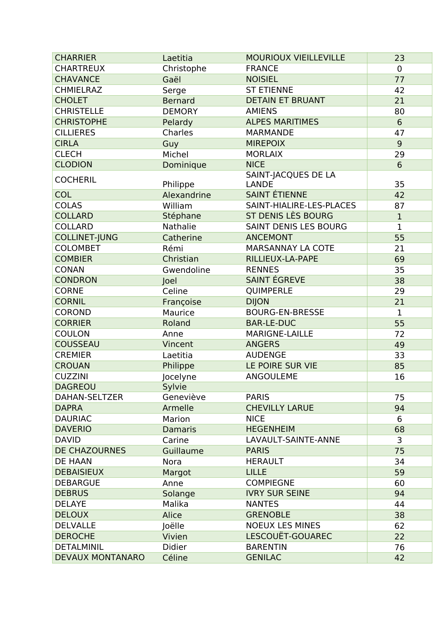| <b>CHARRIER</b>         | Laetitia       | <b>MOURIOUX VIEILLEVILLE</b> | 23             |
|-------------------------|----------------|------------------------------|----------------|
| <b>CHARTREUX</b>        | Christophe     | <b>FRANCE</b>                | $\overline{0}$ |
| <b>CHAVANCE</b>         | Gaël           | <b>NOISIEL</b>               | 77             |
| <b>CHMIELRAZ</b>        | Serge          | <b>ST ETIENNE</b>            | 42             |
| <b>CHOLET</b>           | <b>Bernard</b> | <b>DETAIN ET BRUANT</b>      | 21             |
| <b>CHRISTELLE</b>       | <b>DEMORY</b>  | <b>AMIENS</b>                | 80             |
| <b>CHRISTOPHE</b>       | Pelardy        | <b>ALPES MARITIMES</b>       | $6\phantom{1}$ |
| <b>CILLIERES</b>        | Charles        | <b>MARMANDE</b>              | 47             |
| <b>CIRLA</b>            | Guy            | <b>MIREPOIX</b>              | 9              |
| <b>CLECH</b>            | Michel         | <b>MORLAIX</b>               | 29             |
| <b>CLODION</b>          | Dominique      | <b>NICE</b>                  | 6              |
| <b>COCHERIL</b>         |                | SAINT-JACQUES DE LA          |                |
|                         | Philippe       | <b>LANDE</b>                 | 35             |
| <b>COL</b>              | Alexandrine    | <b>SAINT ÉTIENNE</b>         | 42             |
| <b>COLAS</b>            | William        | SAINT-HIALIRE-LES-PLACES     | 87             |
| <b>COLLARD</b>          | Stéphane       | ST DENIS LÈS BOURG           | $\mathbf 1$    |
| <b>COLLARD</b>          | Nathalie       | SAINT DENIS LES BOURG        | $\mathbf{1}$   |
| <b>COLLINET-JUNG</b>    | Catherine      | <b>ANCEMONT</b>              | 55             |
| <b>COLOMBET</b>         | Rémi           | <b>MARSANNAY LA COTE</b>     | 21             |
| <b>COMBIER</b>          | Christian      | RILLIEUX-LA-PAPE             | 69             |
| <b>CONAN</b>            | Gwendoline     | <b>RENNES</b>                | 35             |
| <b>CONDRON</b>          | Joel           | <b>SAINT ÉGREVE</b>          | 38             |
| <b>CORNE</b>            | Celine         | QUIMPERLE                    | 29             |
| <b>CORNIL</b>           | Françoise      | <b>DIJON</b>                 | 21             |
| <b>COROND</b>           | Maurice        | <b>BOURG-EN-BRESSE</b>       | $\mathbf{1}$   |
| <b>CORRIER</b>          | Roland         | <b>BAR-LE-DUC</b>            | 55             |
| <b>COULON</b>           | Anne           | <b>MARIGNE-LAILLE</b>        | 72             |
| <b>COUSSEAU</b>         | Vincent        | <b>ANGERS</b>                | 49             |
| <b>CREMIER</b>          | Laetitia       | <b>AUDENGE</b>               | 33             |
| <b>CROUAN</b>           | Philippe       | LE POIRE SUR VIE             | 85             |
| <b>CUZZINI</b>          | Jocelyne       | <b>ANGOULEME</b>             | 16             |
| <b>DAGREOU</b>          | Sylvie         |                              |                |
| DAHAN-SELTZER           | Geneviève      | <b>PARIS</b>                 | 75             |
| <b>DAPRA</b>            | Armelle        | <b>CHEVILLY LARUE</b>        | 94             |
| <b>DAURIAC</b>          | Marion         | <b>NICE</b>                  | 6              |
| <b>DAVERIO</b>          | <b>Damaris</b> | <b>HEGENHEIM</b>             | 68             |
| <b>DAVID</b>            | Carine         | LAVAULT-SAINTE-ANNE          | 3              |
| <b>DE CHAZOURNES</b>    | Guillaume      | <b>PARIS</b>                 | 75             |
| DE HAAN                 | <b>Nora</b>    | <b>HERAULT</b>               | 34             |
| <b>DEBAISIEUX</b>       | Margot         | <b>LILLE</b>                 | 59             |
| <b>DEBARGUE</b>         | Anne           | <b>COMPIEGNE</b>             | 60             |
| <b>DEBRUS</b>           | Solange        | <b>IVRY SUR SEINE</b>        | 94             |
| <b>DELAYE</b>           | Malika         | <b>NANTES</b>                | 44             |
| <b>DELOUX</b>           | Alice          | <b>GRENOBLE</b>              | 38             |
| <b>DELVALLE</b>         | Joëlle         | <b>NOEUX LES MINES</b>       | 62             |
| <b>DEROCHE</b>          | Vivien         | LESCOUËT-GOUAREC             | 22             |
| <b>DETALMINIL</b>       | <b>Didier</b>  | <b>BARENTIN</b>              | 76             |
| <b>DEVAUX MONTANARO</b> | Céline         | <b>GENILAC</b>               | 42             |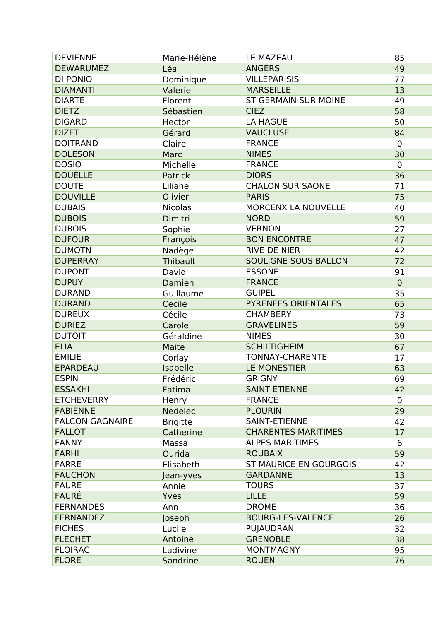| <b>DEVIENNE</b>        | Marie-Hélène    | <b>LE MAZEAU</b>              | 85          |
|------------------------|-----------------|-------------------------------|-------------|
| <b>DEWARUMEZ</b>       | Léa             | <b>ANGERS</b>                 | 49          |
| DI PONIO               | Dominique       | <b>VILLEPARISIS</b>           | 77          |
| <b>DIAMANTI</b>        | Valerie         | <b>MARSEILLE</b>              | 13          |
| <b>DIARTE</b>          | Florent         | <b>ST GERMAIN SUR MOINE</b>   | 49          |
| <b>DIETZ</b>           | Sébastien       | <b>CIEZ</b>                   | 58          |
| <b>DIGARD</b>          | Hector          | <b>LA HAGUE</b>               | 50          |
| <b>DIZET</b>           | Gérard          | <b>VAUCLUSE</b>               | 84          |
| <b>DOITRAND</b>        | Claire          | <b>FRANCE</b>                 | $\mathbf 0$ |
| <b>DOLESON</b>         | Marc            | <b>NIMES</b>                  | 30          |
| <b>DOSIO</b>           | Michelle        | <b>FRANCE</b>                 | $\mathbf 0$ |
| <b>DOUELLE</b>         | Patrick         | <b>DIORS</b>                  | 36          |
| <b>DOUTE</b>           | Liliane         | <b>CHALON SUR SAONE</b>       | 71          |
| <b>DOUVILLE</b>        | Olivier         | <b>PARIS</b>                  | 75          |
| <b>DUBAIS</b>          | <b>Nicolas</b>  | MORCENX LA NOUVELLE           | 40          |
| <b>DUBOIS</b>          | Dimitri         | <b>NORD</b>                   | 59          |
| <b>DUBOIS</b>          | Sophie          | <b>VERNON</b>                 | 27          |
| <b>DUFOUR</b>          | François        | <b>BON ENCONTRE</b>           | 47          |
| <b>DUMOTN</b>          | Nadège          | <b>RIVE DE NIER</b>           | 42          |
| <b>DUPERRAY</b>        | Thibault        | <b>SOULIGNE SOUS BALLON</b>   | 72          |
| <b>DUPONT</b>          | David           | <b>ESSONE</b>                 | 91          |
| <b>DUPUY</b>           | Damien          | <b>FRANCE</b>                 | $\mathbf 0$ |
| <b>DURAND</b>          | Guillaume       | <b>GUIPEL</b>                 | 35          |
| <b>DURAND</b>          | Cecile          | PYRENEES ORIENTALES           | 65          |
| <b>DUREUX</b>          | Cécile          | <b>CHAMBERY</b>               | 73          |
| <b>DURIEZ</b>          | Carole          | <b>GRAVELINES</b>             | 59          |
| <b>DUTOIT</b>          | Géraldine       | <b>NIMES</b>                  | 30          |
| <b>ELIA</b>            | Maite           | <b>SCHILTIGHEIM</b>           | 67          |
| ÉMILIE                 | Corlay          | <b>TONNAY-CHARENTE</b>        | 17          |
| <b>EPARDEAU</b>        | Isabelle        | LE MONESTIER                  | 63          |
| <b>ESPIN</b>           | Frédéric        | <b>GRIGNY</b>                 | 69          |
| <b>ESSAKHI</b>         | Fatima          | <b>SAINT ETIENNE</b>          | 42          |
| <b>ETCHEVERRY</b>      | Henry           | <b>FRANCE</b>                 | $\mathbf 0$ |
| <b>FABIENNE</b>        | <b>Nedelec</b>  | <b>PLOURIN</b>                | 29          |
| <b>FALCON GAGNAIRE</b> | <b>Brigitte</b> | <b>SAINT-ETIENNE</b>          | 42          |
| <b>FALLOT</b>          | Catherine       | <b>CHARENTES MARITIMES</b>    | 17          |
| <b>FANNY</b>           | Massa           | <b>ALPES MARITIMES</b>        | 6           |
| <b>FARHI</b>           | Ourida          | <b>ROUBAIX</b>                | 59          |
| <b>FARRE</b>           | Elisabeth       | <b>ST MAURICE EN GOURGOIS</b> | 42          |
| <b>FAUCHON</b>         | Jean-yves       | <b>GARDANNE</b>               | 13          |
| <b>FAURE</b>           | Annie           | <b>TOURS</b>                  | 37          |
| <b>FAURÉ</b>           | Yves            | <b>LILLE</b>                  | 59          |
| <b>FERNANDES</b>       | Ann             | <b>DROME</b>                  | 36          |
| <b>FERNANDEZ</b>       | Joseph          | <b>BOURG-LES-VALENCE</b>      | 26          |
| <b>FICHES</b>          | Lucile          | PUJAUDRAN                     | 32          |
| <b>FLECHET</b>         | Antoine         | <b>GRENOBLE</b>               | 38          |
| <b>FLOIRAC</b>         | Ludivine        | <b>MONTMAGNY</b>              | 95          |
| <b>FLORE</b>           | Sandrine        | <b>ROUEN</b>                  | 76          |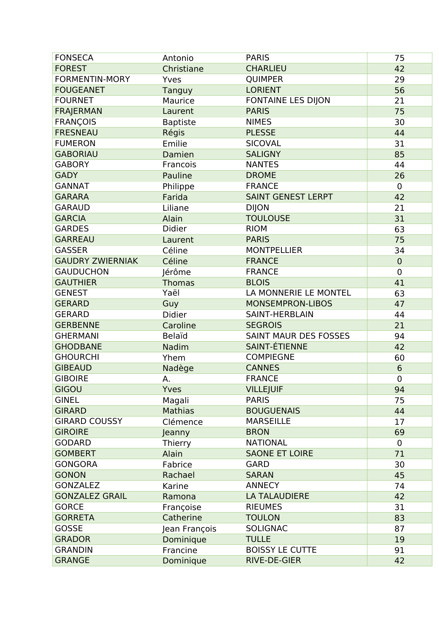| <b>FONSECA</b>          | Antonio         | <b>PARIS</b>                 | 75             |
|-------------------------|-----------------|------------------------------|----------------|
| <b>FOREST</b>           | Christiane      | <b>CHARLIEU</b>              | 42             |
| <b>FORMENTIN-MORY</b>   | Yves            | <b>QUIMPER</b>               | 29             |
| <b>FOUGEANET</b>        | Tanguy          | <b>LORIENT</b>               | 56             |
| <b>FOURNET</b>          | Maurice         | <b>FONTAINE LES DIJON</b>    | 21             |
| <b>FRAJERMAN</b>        | Laurent         | <b>PARIS</b>                 | 75             |
| <b>FRANÇOIS</b>         | <b>Baptiste</b> | <b>NIMES</b>                 | 30             |
| <b>FRESNEAU</b>         | Régis           | <b>PLESSE</b>                | 44             |
| <b>FUMERON</b>          | Emilie          | <b>SICOVAL</b>               | 31             |
| <b>GABORIAU</b>         | Damien          | <b>SALIGNY</b>               | 85             |
| <b>GABORY</b>           | Francois        | <b>NANTES</b>                | 44             |
| <b>GADY</b>             | Pauline         | <b>DROME</b>                 | 26             |
| <b>GANNAT</b>           | Philippe        | <b>FRANCE</b>                | $\mathbf 0$    |
| <b>GARARA</b>           | Farida          | <b>SAINT GENEST LERPT</b>    | 42             |
| <b>GARAUD</b>           | Liliane         | <b>DIJON</b>                 | 21             |
| <b>GARCIA</b>           | Alain           | <b>TOULOUSE</b>              | 31             |
| <b>GARDES</b>           | Didier          | <b>RIOM</b>                  | 63             |
| <b>GARREAU</b>          | Laurent         | <b>PARIS</b>                 | 75             |
| <b>GASSER</b>           | Céline          | <b>MONTPELLIER</b>           | 34             |
| <b>GAUDRY ZWIERNIAK</b> | Céline          | <b>FRANCE</b>                | $\mathbf 0$    |
| <b>GAUDUCHON</b>        | Jérôme          | <b>FRANCE</b>                | $\overline{0}$ |
| <b>GAUTHIER</b>         | <b>Thomas</b>   | <b>BLOIS</b>                 | 41             |
| <b>GENEST</b>           | Yaël            | LA MONNERIE LE MONTEL        | 63             |
| <b>GERARD</b>           | Guy             | <b>MONSEMPRON-LIBOS</b>      | 47             |
| <b>GERARD</b>           | <b>Didier</b>   | <b>SAINT-HERBLAIN</b>        | 44             |
| <b>GERBENNE</b>         | Caroline        | <b>SEGROIS</b>               | 21             |
| <b>GHERMANI</b>         | <b>Belaïd</b>   | <b>SAINT MAUR DES FOSSES</b> | 94             |
| <b>GHODBANE</b>         | Nadim           | <b>SAINT-ÉTIENNE</b>         | 42             |
| <b>GHOURCHI</b>         | Yhem            | <b>COMPIEGNE</b>             | 60             |
| <b>GIBEAUD</b>          | Nadège          | <b>CANNES</b>                | 6              |
| <b>GIBOIRE</b>          | А.              | <b>FRANCE</b>                | $\mathbf 0$    |
| <b>GIGOU</b>            | Yves            | <b>VILLEJUIF</b>             | 94             |
| <b>GINEL</b>            | Magali          | <b>PARIS</b>                 | 75             |
| <b>GIRARD</b>           | <b>Mathias</b>  | <b>BOUGUENAIS</b>            | 44             |
| <b>GIRARD COUSSY</b>    | Clémence        | <b>MARSEILLE</b>             | 17             |
| <b>GIROIRE</b>          | Jeanny          | <b>BRON</b>                  | 69             |
| <b>GODARD</b>           | Thierry         | <b>NATIONAL</b>              | $\mathbf{0}$   |
| <b>GOMBERT</b>          | Alain           | <b>SAONE ET LOIRE</b>        | 71             |
| <b>GONGORA</b>          | Fabrice         | <b>GARD</b>                  | 30             |
| <b>GONON</b>            | Rachael         | <b>SARAN</b>                 | 45             |
| <b>GONZALEZ</b>         | Karine          | <b>ANNECY</b>                | 74             |
| <b>GONZALEZ GRAIL</b>   | Ramona          | <b>LA TALAUDIERE</b>         | 42             |
| <b>GORCE</b>            | Françoise       | <b>RIEUMES</b>               | 31             |
| <b>GORRETA</b>          | Catherine       | <b>TOULON</b>                | 83             |
| <b>GOSSE</b>            | Jean François   | <b>SOLIGNAC</b>              | 87             |
| <b>GRADOR</b>           | Dominique       | <b>TULLE</b>                 | 19             |
| <b>GRANDIN</b>          | Francine        | <b>BOISSY LE CUTTE</b>       | 91             |
| <b>GRANGE</b>           | Dominique       | RIVE-DE-GIER                 | 42             |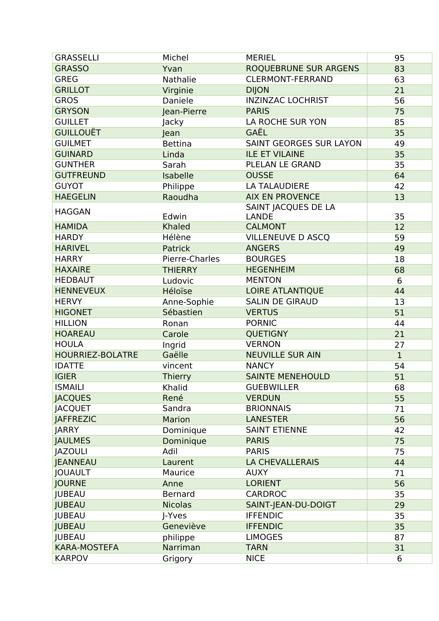| <b>GRASSELLI</b>        | Michel          | <b>MERIEL</b>                  | 95           |
|-------------------------|-----------------|--------------------------------|--------------|
| <b>GRASSO</b>           | Yvan            | <b>ROQUEBRUNE SUR ARGENS</b>   | 83           |
| <b>GREG</b>             | <b>Nathalie</b> | <b>CLERMONT-FERRAND</b>        | 63           |
| <b>GRILLOT</b>          | Virginie        | <b>DIJON</b>                   | 21           |
| <b>GROS</b>             | Daniele         | <b>INZINZAC LOCHRIST</b>       | 56           |
| <b>GRYSON</b>           | Jean-Pierre     | <b>PARIS</b>                   | 75           |
| <b>GUILLET</b>          | Jacky           | LA ROCHE SUR YON               | 85           |
| <b>GUILLOUËT</b>        | Jean            | GAËL                           | 35           |
| <b>GUILMET</b>          | <b>Bettina</b>  | <b>SAINT GEORGES SUR LAYON</b> | 49           |
| <b>GUINARD</b>          | Linda           | <b>ILE ET VILAINE</b>          | 35           |
| <b>GUNTHER</b>          | Sarah           | PLELAN LE GRAND                | 35           |
| <b>GUTFREUND</b>        | Isabelle        | <b>OUSSE</b>                   | 64           |
| <b>GUYOT</b>            | Philippe        | <b>LA TALAUDIERE</b>           | 42           |
| <b>HAEGELIN</b>         | Raoudha         | <b>AIX EN PROVENCE</b>         | 13           |
|                         |                 | SAINT JACQUES DE LA            |              |
| <b>HAGGAN</b>           | Edwin           | <b>LANDE</b>                   | 35           |
| <b>HAMIDA</b>           | <b>Khaled</b>   | <b>CALMONT</b>                 | 12           |
| <b>HARDY</b>            | Hélène          | <b>VILLENEUVE D ASCQ</b>       | 59           |
| <b>HARIVEL</b>          | Patrick         | <b>ANGERS</b>                  | 49           |
| <b>HARRY</b>            | Pierre-Charles  | <b>BOURGES</b>                 | 18           |
| <b>HAXAIRE</b>          | <b>THIERRY</b>  | <b>HEGENHEIM</b>               | 68           |
| <b>HEDBAUT</b>          | Ludovic         | <b>MENTON</b>                  | 6            |
| <b>HENNEVEUX</b>        | Héloïse         | <b>LOIRE ATLANTIQUE</b>        | 44           |
| <b>HERVY</b>            | Anne-Sophie     | <b>SALIN DE GIRAUD</b>         | 13           |
| <b>HIGONET</b>          | Sébastien       | <b>VERTUS</b>                  | 51           |
| <b>HILLION</b>          | Ronan           | <b>PORNIC</b>                  | 44           |
| <b>HOAREAU</b>          | Carole          | <b>QUETIGNY</b>                | 21           |
| <b>HOULA</b>            | Ingrid          | <b>VERNON</b>                  | 27           |
| <b>HOURRIEZ-BOLATRE</b> | Gaëlle          | <b>NEUVILLE SUR AIN</b>        | $\mathbf{1}$ |
| <b>IDATTE</b>           | vincent         | <b>NANCY</b>                   | 54           |
| <b>IGIER</b>            | <b>Thierry</b>  | <b>SAINTE MENEHOULD</b>        | 51           |
| <b>ISMAILI</b>          | Khalid          | <b>GUEBWILLER</b>              | 68           |
| <b>JACQUES</b>          | René            | <b>VERDUN</b>                  | 55           |
| <b>JACQUET</b>          | Sandra          | <b>BRIONNAIS</b>               | 71           |
| <b>JAFFREZIC</b>        | Marion          | <b>LANESTER</b>                | 56           |
| <b>JARRY</b>            | Dominique       | <b>SAINT ETIENNE</b>           | 42           |
| <b>JAULMES</b>          | Dominique       | <b>PARIS</b>                   | 75           |
| <b>JAZOULI</b>          | Adil            | <b>PARIS</b>                   | 75           |
| <b>JEANNEAU</b>         | Laurent         | <b>LA CHEVALLERAIS</b>         | 44           |
| <b>JOUAULT</b>          | Maurice         | <b>AUXY</b>                    | 71           |
| <b>JOURNE</b>           | Anne            | <b>LORIENT</b>                 | 56           |
| <b>JUBEAU</b>           | <b>Bernard</b>  | <b>CARDROC</b>                 | 35           |
| <b>JUBEAU</b>           | <b>Nicolas</b>  | SAINT-JEAN-DU-DOIGT            | 29           |
| <b>JUBEAU</b>           | J-Yves          | <b>IFFENDIC</b>                | 35           |
| <b>JUBEAU</b>           | Geneviève       | <b>IFFENDIC</b>                | 35           |
| <b>JUBEAU</b>           | philippe        | <b>LIMOGES</b>                 | 87           |
| <b>KARA-MOSTEFA</b>     | Narriman        | <b>TARN</b>                    | 31           |
| <b>KARPOV</b>           |                 | <b>NICE</b>                    |              |
|                         | Grigory         |                                | 6            |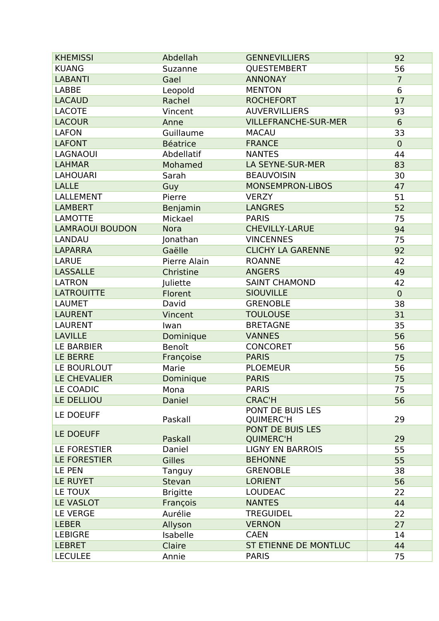| <b>KHEMISSI</b>                            | Abdellah        | <b>GENNEVILLIERS</b>        | 92             |
|--------------------------------------------|-----------------|-----------------------------|----------------|
| <b>KUANG</b>                               | Suzanne         | QUESTEMBERT                 | 56             |
| <b>LABANTI</b>                             | Gael            | <b>ANNONAY</b>              | $\overline{7}$ |
| <b>LABBE</b>                               | Leopold         | <b>MENTON</b>               | 6              |
| <b>LACAUD</b>                              | Rachel          | <b>ROCHEFORT</b>            | 17             |
| <b>LACOTE</b>                              | Vincent         | <b>AUVERVILLIERS</b>        | 93             |
| <b>LACOUR</b>                              | Anne            | <b>VILLEFRANCHE-SUR-MER</b> | $6\phantom{1}$ |
| <b>LAFON</b>                               | Guillaume       | <b>MACAU</b>                | 33             |
| <b>LAFONT</b>                              | <b>Béatrice</b> | <b>FRANCE</b>               | $\mathbf 0$    |
| <b>LAGNAOUI</b>                            | Abdellatif      | <b>NANTES</b>               | 44             |
| <b>LAHMAR</b>                              | Mohamed         | LA SEYNE-SUR-MER            | 83             |
| <b>LAHOUARI</b>                            | Sarah           | <b>BEAUVOISIN</b>           | 30             |
| <b>LALLE</b>                               | Guy             | <b>MONSEMPRON-LIBOS</b>     | 47             |
| LALLEMENT                                  | Pierre          | <b>VERZY</b>                | 51             |
| <b>LAMBERT</b>                             | Benjamin        | <b>LANGRES</b>              | 52             |
| <b>LAMOTTE</b>                             | Mickael         | <b>PARIS</b>                | 75             |
| <b>LAMRAOUI BOUDON</b>                     | <b>Nora</b>     | <b>CHEVILLY-LARUE</b>       | 94             |
| LANDAU                                     | Jonathan        | <b>VINCENNES</b>            | 75             |
| <b>LAPARRA</b>                             | Gaëlle          | <b>CLICHY LA GARENNE</b>    | 92             |
| <b>LARUE</b>                               | Pierre Alain    | <b>ROANNE</b>               | 42             |
| <b>LASSALLE</b>                            | Christine       | <b>ANGERS</b>               | 49             |
| <b>LATRON</b>                              | Juliette        | <b>SAINT CHAMOND</b>        | 42             |
| <b>LATROUITTE</b>                          | Florent         | <b>SIOUVILLE</b>            | $\mathbf 0$    |
| <b>LAUMET</b>                              | David           | <b>GRENOBLE</b>             | 38             |
| <b>LAURENT</b>                             | Vincent         | <b>TOULOUSE</b>             | 31             |
| <b>LAURENT</b>                             | Iwan            | <b>BRETAGNE</b>             | 35             |
| <b>LAVILLE</b>                             | Dominique       | <b>VANNES</b>               | 56             |
| <b>LE BARBIER</b>                          | Benoît          | <b>CONCORET</b>             | 56             |
| <b>LE BERRE</b>                            | Françoise       | <b>PARIS</b>                | 75             |
| LE BOURLOUT                                | Marie           | <b>PLOEMEUR</b>             | 56             |
| <b>LE CHEVALIER</b>                        | Dominique       | <b>PARIS</b>                | 75             |
| LE COADIC                                  | Mona            | <b>PARIS</b>                | 75             |
| LE DELLIOU                                 | Daniel          | <b>CRAC'H</b>               | 56             |
| LE DOEUFF                                  |                 | PONT DE BUIS LES            |                |
|                                            | Paskall         | <b>QUIMERC'H</b>            | 29             |
| LE DOEUFF                                  |                 | PONT DE BUIS LES            |                |
|                                            | Paskall         | <b>QUIMERC'H</b>            | 29             |
| <b>LE FORESTIER</b><br><b>LE FORESTIER</b> | Daniel          | <b>LIGNY EN BARROIS</b>     | 55             |
|                                            | <b>Gilles</b>   | <b>BEHONNE</b>              | 55             |
| LE PEN                                     | Tanguy          | <b>GRENOBLE</b>             | 38             |
| LE RUYET                                   | Stevan          | <b>LORIENT</b>              | 56             |
| LE TOUX                                    | <b>Brigitte</b> | <b>LOUDEAC</b>              | 22             |
| LE VASLOT                                  | François        | <b>NANTES</b>               | 44             |
| <b>LE VERGE</b>                            | Aurélie         | <b>TREGUIDEL</b>            | 22             |
| <b>LEBER</b>                               | Allyson         | <b>VERNON</b>               | 27             |
| <b>LEBIGRE</b>                             | Isabelle        | <b>CAEN</b>                 | 14             |
| <b>LEBRET</b>                              | Claire          | ST ETIENNE DE MONTLUC       | 44             |
| <b>LECULEE</b>                             | Annie           | <b>PARIS</b>                | 75             |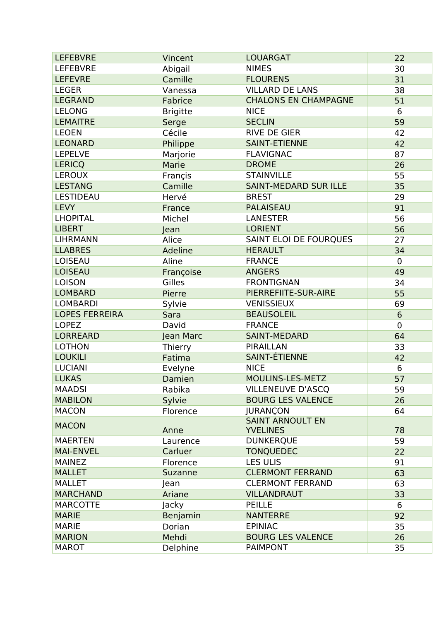| <b>LEFEBVRE</b>       | Vincent         | <b>LOUARGAT</b>                            | 22          |
|-----------------------|-----------------|--------------------------------------------|-------------|
| <b>LEFEBVRE</b>       | Abigail         | <b>NIMES</b>                               | 30          |
| <b>LEFEVRE</b>        | Camille         | <b>FLOURENS</b>                            | 31          |
| <b>LEGER</b>          | Vanessa         | <b>VILLARD DE LANS</b>                     | 38          |
| <b>LEGRAND</b>        | Fabrice         | <b>CHALONS EN CHAMPAGNE</b>                | 51          |
| <b>LELONG</b>         | <b>Brigitte</b> | <b>NICE</b>                                | 6           |
| <b>LEMAITRE</b>       | Serge           | <b>SECLIN</b>                              | 59          |
| <b>LEOEN</b>          | Cécile          | <b>RIVE DE GIER</b>                        | 42          |
| <b>LEONARD</b>        | Philippe        | <b>SAINT-ETIENNE</b>                       | 42          |
| <b>LEPELVE</b>        | Marjorie        | <b>FLAVIGNAC</b>                           | 87          |
| <b>LERICQ</b>         | Marie           | <b>DROME</b>                               | 26          |
| <b>LEROUX</b>         | Françis         | <b>STAINVILLE</b>                          | 55          |
| <b>LESTANG</b>        | Camille         | <b>SAINT-MEDARD SUR ILLE</b>               | 35          |
| <b>LESTIDEAU</b>      | Hervé           | <b>BREST</b>                               | 29          |
| <b>LEVY</b>           | France          | <b>PALAISEAU</b>                           | 91          |
| <b>LHOPITAL</b>       | Michel          | <b>LANESTER</b>                            | 56          |
| <b>LIBERT</b>         | Jean            | <b>LORIENT</b>                             | 56          |
| <b>LIHRMANN</b>       | Alice           | SAINT ELOI DE FOURQUES                     | 27          |
| <b>LLABRES</b>        | Adeline         | <b>HERAULT</b>                             | 34          |
| <b>LOISEAU</b>        | Aline           | <b>FRANCE</b>                              | $\mathbf 0$ |
| <b>LOISEAU</b>        | Françoise       | <b>ANGERS</b>                              | 49          |
| <b>LOISON</b>         | Gilles          | <b>FRONTIGNAN</b>                          | 34          |
| <b>LOMBARD</b>        | Pierre          | PIERREFIITE-SUR-AIRE                       | 55          |
| <b>LOMBARDI</b>       | Sylvie          | <b>VENISSIEUX</b>                          | 69          |
| <b>LOPES FERREIRA</b> | Sara            | <b>BEAUSOLEIL</b>                          | 6           |
| <b>LOPEZ</b>          | David           | <b>FRANCE</b>                              | $\mathbf 0$ |
| <b>LORREARD</b>       | Jean Marc       | <b>SAINT-MEDARD</b>                        | 64          |
| <b>LOTHON</b>         | Thierry         | <b>PIRAILLAN</b>                           | 33          |
| <b>LOUKILI</b>        | Fatima          | <b>SAINT-ÉTIENNE</b>                       | 42          |
| <b>LUCIANI</b>        | Evelyne         | <b>NICE</b>                                | 6           |
| <b>LUKAS</b>          | Damien          | MOULINS-LES-METZ                           | 57          |
| <b>MAADSI</b>         | Rabika          | <b>VILLENEUVE D'ASCO</b>                   | 59          |
| <b>MABILON</b>        | Sylvie          | <b>BOURG LES VALENCE</b>                   | 26          |
| <b>MACON</b>          | Florence        | <b>JURANÇON</b>                            | 64          |
| <b>MACON</b>          | Anne            | <b>SAINT ARNOULT EN</b><br><b>YVELINES</b> | 78          |
| <b>MAERTEN</b>        | Laurence        | <b>DUNKERQUE</b>                           | 59          |
| <b>MAI-ENVEL</b>      | Carluer         | <b>TONQUEDEC</b>                           | 22          |
| <b>MAINEZ</b>         | Florence        | <b>LES ULIS</b>                            | 91          |
| <b>MALLET</b>         | Suzanne         | <b>CLERMONT FERRAND</b>                    | 63          |
| <b>MALLET</b>         | Jean            | <b>CLERMONT FERRAND</b>                    | 63          |
| <b>MARCHAND</b>       | Ariane          | <b>VILLANDRAUT</b>                         | 33          |
| <b>MARCOTTE</b>       | Jacky           | <b>PEILLE</b>                              | 6           |
| <b>MARIE</b>          | Benjamin        | <b>NANTERRE</b>                            | 92          |
| <b>MARIE</b>          | Dorian          | <b>EPINIAC</b>                             | 35          |
| <b>MARION</b>         | Mehdi           | <b>BOURG LES VALENCE</b>                   | 26          |
| <b>MAROT</b>          | Delphine        | <b>PAIMPONT</b>                            | 35          |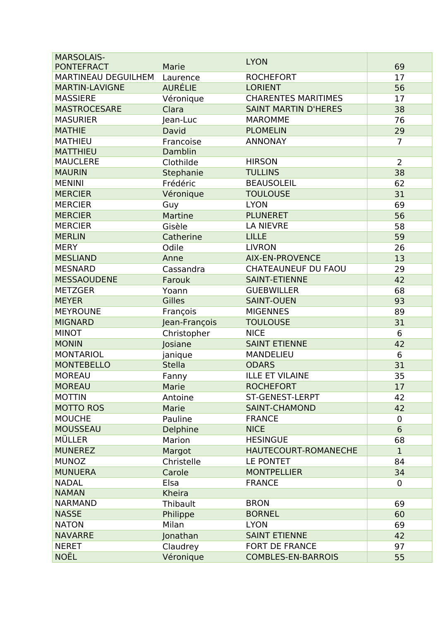| <b>MARSOLAIS-</b>     |                | <b>LYON</b>                 |                 |
|-----------------------|----------------|-----------------------------|-----------------|
| <b>PONTEFRACT</b>     | Marie          |                             | 69              |
| MARTINEAU DEGUILHEM   | Laurence       | <b>ROCHEFORT</b>            | 17              |
| <b>MARTIN-LAVIGNE</b> | <b>AURÉLIE</b> | <b>LORIENT</b>              | 56              |
| <b>MASSIERE</b>       | Véronique      | <b>CHARENTES MARITIMES</b>  | 17              |
| <b>MASTROCESARE</b>   | Clara          | <b>SAINT MARTIN D'HERES</b> | 38              |
| <b>MASURIER</b>       | Jean-Luc       | <b>MAROMME</b>              | 76              |
| <b>MATHIE</b>         | David          | <b>PLOMELIN</b>             | 29              |
| <b>MATHIEU</b>        | Francoise      | <b>ANNONAY</b>              | $\overline{7}$  |
| <b>MATTHIEU</b>       | Damblin        |                             |                 |
| <b>MAUCLERE</b>       | Clothilde      | <b>HIRSON</b>               | $\overline{2}$  |
| <b>MAURIN</b>         | Stephanie      | <b>TULLINS</b>              | 38              |
| <b>MENINI</b>         | Frédéric       | <b>BEAUSOLEIL</b>           | 62              |
| <b>MERCIER</b>        | Véronique      | <b>TOULOUSE</b>             | 31              |
| <b>MERCIER</b>        | Guy            | <b>LYON</b>                 | 69              |
| <b>MERCIER</b>        | Martine        | <b>PLUNERET</b>             | 56              |
| <b>MERCIER</b>        | Gisèle         | <b>LA NIEVRE</b>            | 58              |
| <b>MERLIN</b>         | Catherine      | <b>LILLE</b>                | 59              |
| <b>MERY</b>           | Odile          | <b>LIVRON</b>               | 26              |
| <b>MESLIAND</b>       | Anne           | <b>AIX-EN-PROVENCE</b>      | 13              |
| <b>MESNARD</b>        | Cassandra      | <b>CHATEAUNEUF DU FAOU</b>  | 29              |
| <b>MESSAOUDENE</b>    | Farouk         | <b>SAINT-ETIENNE</b>        | 42              |
| <b>METZGER</b>        | Yoann          | <b>GUEBWILLER</b>           | 68              |
| <b>MEYER</b>          | <b>Gilles</b>  | <b>SAINT-OUEN</b>           | 93              |
| <b>MEYROUNE</b>       | François       | <b>MIGENNES</b>             | 89              |
| <b>MIGNARD</b>        | Jean-François  | <b>TOULOUSE</b>             | 31              |
| <b>MINOT</b>          | Christopher    | <b>NICE</b>                 | 6               |
| <b>MONIN</b>          | Josiane        | <b>SAINT ETIENNE</b>        | 42              |
| <b>MONTARIOL</b>      | janique        | <b>MANDELIEU</b>            | 6               |
| <b>MONTEBELLO</b>     | <b>Stella</b>  | <b>ODARS</b>                | 31              |
| <b>MOREAU</b>         | Fanny          | <b>ILLE ET VILAINE</b>      | 35              |
| <b>MOREAU</b>         | Marie          | <b>ROCHEFORT</b>            | 17              |
| <b>MOTTIN</b>         | Antoine        | ST-GENEST-LERPT             | 42              |
| <b>MOTTO ROS</b>      | Marie          | <b>SAINT-CHAMOND</b>        | 42              |
| <b>MOUCHE</b>         | Pauline        | <b>FRANCE</b>               | $\mathbf 0$     |
| <b>MOUSSEAU</b>       | Delphine       | <b>NICE</b>                 | $6\phantom{1}6$ |
| <b>MÜLLER</b>         | Marion         | <b>HESINGUE</b>             | 68              |
| <b>MUNEREZ</b>        | Margot         | HAUTECOURT-ROMANECHE        | $\mathbf{1}$    |
| <b>MUNOZ</b>          | Christelle     | LE PONTET                   | 84              |
| <b>MUNUERA</b>        | Carole         | <b>MONTPELLIER</b>          | 34              |
| <b>NADAL</b>          | Elsa           | <b>FRANCE</b>               | $\overline{0}$  |
| <b>NAMAN</b>          | Kheira         |                             |                 |
| <b>NARMAND</b>        | Thibault       | <b>BRON</b>                 | 69              |
| <b>NASSE</b>          | Philippe       | <b>BORNEL</b>               | 60              |
| <b>NATON</b>          | Milan          | <b>LYON</b>                 | 69              |
| <b>NAVARRE</b>        | Jonathan       | <b>SAINT ETIENNE</b>        | 42              |
| <b>NERET</b>          |                | FORT DE FRANCE              | 97              |
| <b>NOËL</b>           | Claudrey       | <b>COMBLES-EN-BARROIS</b>   |                 |
|                       | Véronique      |                             | 55              |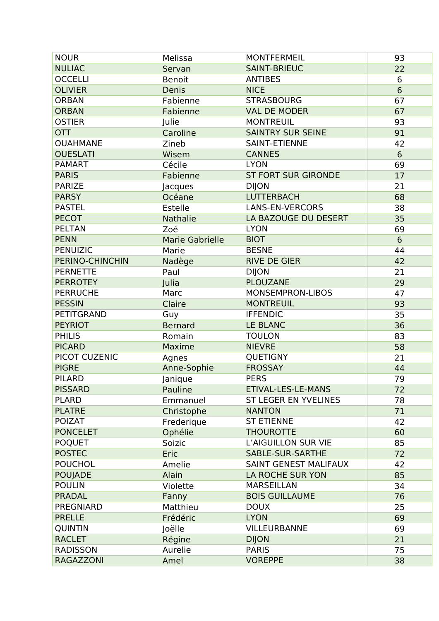| <b>NOUR</b>       | Melissa                 | <b>MONTFERMEIL</b>           | 93             |
|-------------------|-------------------------|------------------------------|----------------|
| <b>NULIAC</b>     | Servan                  | <b>SAINT-BRIEUC</b>          | 22             |
| <b>OCCELLI</b>    | <b>Benoit</b>           | <b>ANTIBES</b>               | 6              |
| <b>OLIVIER</b>    | Denis                   | <b>NICE</b>                  | 6              |
| <b>ORBAN</b>      | Fabienne                | <b>STRASBOURG</b>            | 67             |
| <b>ORBAN</b>      | Fabienne                | <b>VAL DE MODER</b>          | 67             |
| <b>OSTIER</b>     | Julie                   | <b>MONTREUIL</b>             | 93             |
| <b>OTT</b>        | Caroline                | <b>SAINTRY SUR SEINE</b>     | 91             |
| <b>OUAHMANE</b>   | Zineb                   | <b>SAINT-ETIENNE</b>         | 42             |
| <b>OUESLATI</b>   | Wisem                   | <b>CANNES</b>                | $6\phantom{1}$ |
| <b>PAMART</b>     | Cécile                  | <b>LYON</b>                  | 69             |
| <b>PARIS</b>      | Fabienne                | <b>ST FORT SUR GIRONDE</b>   | 17             |
| <b>PARIZE</b>     | Jacques                 | <b>DIJON</b>                 | 21             |
| <b>PARSY</b>      | Océane                  | <b>LUTTERBACH</b>            | 68             |
| <b>PASTEL</b>     | <b>Estelle</b>          | <b>LANS-EN-VERCORS</b>       | 38             |
| <b>PECOT</b>      | Nathalie                | LA BAZOUGE DU DESERT         | 35             |
| <b>PELTAN</b>     | Zoé                     | <b>LYON</b>                  | 69             |
| <b>PENN</b>       | <b>Marie Gabrielle</b>  | <b>BIOT</b>                  | 6              |
| <b>PENUIZIC</b>   | Marie                   | <b>BESNE</b>                 | 44             |
| PERINO-CHINCHIN   | Nadège                  | <b>RIVE DE GIER</b>          | 42             |
| <b>PERNETTE</b>   | Paul                    | <b>DIJON</b>                 | 21             |
| <b>PERROTEY</b>   | Julia                   | <b>PLOUZANE</b>              | 29             |
| <b>PERRUCHE</b>   | Marc                    | MONSEMPRON-LIBOS             | 47             |
| <b>PESSIN</b>     | Claire                  | <b>MONTREUIL</b>             | 93             |
| <b>PETITGRAND</b> | Guy                     | <b>IFFENDIC</b>              | 35             |
| <b>PEYRIOT</b>    |                         | LE BLANC                     |                |
| <b>PHILIS</b>     | <b>Bernard</b>          | <b>TOULON</b>                | 36             |
| <b>PICARD</b>     | Romain<br><b>Maxime</b> | <b>NIEVRE</b>                | 83             |
|                   |                         |                              | 58             |
| PICOT CUZENIC     | Agnes                   | QUETIGNY                     | 21             |
| <b>PIGRE</b>      | Anne-Sophie             | <b>FROSSAY</b>               | 44             |
| <b>PILARD</b>     | Janique                 | <b>PERS</b>                  | 79             |
| <b>PISSARD</b>    | Pauline                 | <b>ETIVAL-LES-LE-MANS</b>    | 72             |
| <b>PLARD</b>      | Emmanuel                | ST LEGER EN YVELINES         | 78             |
| <b>PLATRE</b>     | Christophe              | <b>NANTON</b>                | 71             |
| <b>POIZAT</b>     | Frederique              | <b>ST ETIENNE</b>            | 42             |
| <b>PONCELET</b>   | Ophélie                 | <b>THOUROTTE</b>             | 60             |
| <b>POQUET</b>     | Soizic                  | L'AIGUILLON SUR VIE          | 85             |
| <b>POSTEC</b>     | Eric                    | SABLE-SUR-SARTHE             | 72             |
| <b>POUCHOL</b>    | Amelie                  | <b>SAINT GENEST MALIFAUX</b> | 42             |
| <b>POUJADE</b>    | Alain                   | LA ROCHE SUR YON             | 85             |
| <b>POULIN</b>     | Violette                | <b>MARSEILLAN</b>            | 34             |
| <b>PRADAL</b>     | Fanny                   | <b>BOIS GUILLAUME</b>        | 76             |
| <b>PREGNIARD</b>  | Matthieu                | <b>DOUX</b>                  | 25             |
| <b>PRELLE</b>     | Frédéric                | <b>LYON</b>                  | 69             |
| <b>QUINTIN</b>    | Joëlle                  | <b>VILLEURBANNE</b>          | 69             |
| <b>RACLET</b>     | Régine                  | <b>DIJON</b>                 | 21             |
| <b>RADISSON</b>   | Aurelie                 | <b>PARIS</b>                 | 75             |
| <b>RAGAZZONI</b>  | Amel                    | <b>VOREPPE</b>               | 38             |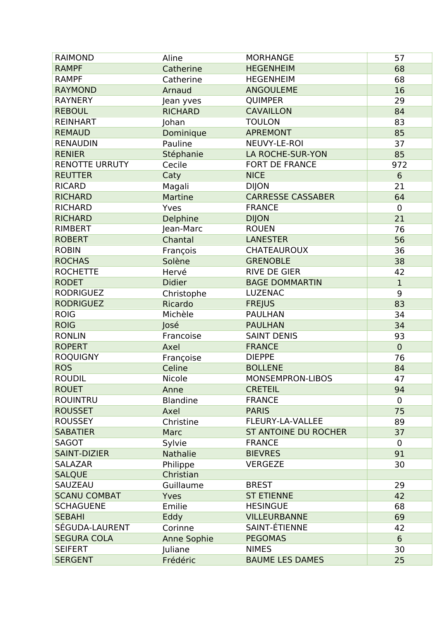| <b>RAIMOND</b>        | Aline              | <b>MORHANGE</b>             | 57             |
|-----------------------|--------------------|-----------------------------|----------------|
| <b>RAMPF</b>          | Catherine          | <b>HEGENHEIM</b>            | 68             |
| <b>RAMPF</b>          | Catherine          | <b>HEGENHEIM</b>            | 68             |
| <b>RAYMOND</b>        | Arnaud             | <b>ANGOULEME</b>            | 16             |
| <b>RAYNERY</b>        | Jean yves          | <b>QUIMPER</b>              | 29             |
| <b>REBOUL</b>         | <b>RICHARD</b>     | <b>CAVAILLON</b>            | 84             |
| <b>REINHART</b>       | Johan              | <b>TOULON</b>               | 83             |
| <b>REMAUD</b>         | Dominique          | <b>APREMONT</b>             | 85             |
| <b>RENAUDIN</b>       | Pauline            | NEUVY-LE-ROI                | 37             |
| <b>RENIER</b>         | Stéphanie          | <b>LA ROCHE-SUR-YON</b>     | 85             |
| <b>RENOTTE URRUTY</b> | Cecile             | <b>FORT DE FRANCE</b>       | 972            |
| <b>REUTTER</b>        | Caty               | <b>NICE</b>                 | $6\phantom{1}$ |
| <b>RICARD</b>         | Magali             | <b>DIJON</b>                | 21             |
| <b>RICHARD</b>        | <b>Martine</b>     | <b>CARRESSE CASSABER</b>    | 64             |
| <b>RICHARD</b>        | Yves               | <b>FRANCE</b>               | $\mathbf 0$    |
| <b>RICHARD</b>        | Delphine           | <b>DIJON</b>                | 21             |
| <b>RIMBERT</b>        | Jean-Marc          | <b>ROUEN</b>                | 76             |
| <b>ROBERT</b>         | Chantal            | <b>LANESTER</b>             | 56             |
| <b>ROBIN</b>          | François           | <b>CHATEAUROUX</b>          | 36             |
| <b>ROCHAS</b>         | Solène             | <b>GRENOBLE</b>             | 38             |
| <b>ROCHETTE</b>       | Hervé              | <b>RIVE DE GIER</b>         | 42             |
| <b>RODET</b>          | <b>Didier</b>      | <b>BAGE DOMMARTIN</b>       | $\mathbf{1}$   |
| <b>RODRIGUEZ</b>      | Christophe         | <b>LUZENAC</b>              | 9              |
| <b>RODRIGUEZ</b>      | Ricardo            | <b>FREJUS</b>               | 83             |
| <b>ROIG</b>           | Michèle            | <b>PAULHAN</b>              | 34             |
| <b>ROIG</b>           | José               | <b>PAULHAN</b>              | 34             |
| <b>RONLIN</b>         | Francoise          | <b>SAINT DENIS</b>          | 93             |
| <b>ROPERT</b>         | Axel               | <b>FRANCE</b>               | $\overline{0}$ |
| <b>ROQUIGNY</b>       | Françoise          | <b>DIEPPE</b>               | 76             |
| <b>ROS</b>            | Celine             | <b>BOLLENE</b>              | 84             |
| <b>ROUDIL</b>         | Nicole             | MONSEMPRON-LIBOS            | 47             |
| <b>ROUET</b>          | Anne               | <b>CRETEIL</b>              | 94             |
| <b>ROUINTRU</b>       | <b>Blandine</b>    | <b>FRANCE</b>               | $\mathbf 0$    |
| <b>ROUSSET</b>        | Axel               | <b>PARIS</b>                | 75             |
| <b>ROUSSEY</b>        | Christine          | <b>FLEURY-LA-VALLEE</b>     | 89             |
| <b>SABATIER</b>       | Marc               | <b>ST ANTOINE DU ROCHER</b> | 37             |
| <b>SAGOT</b>          | Sylvie             | <b>FRANCE</b>               | $\overline{0}$ |
| <b>SAINT-DIZIER</b>   | <b>Nathalie</b>    | <b>BIEVRES</b>              | 91             |
| <b>SALAZAR</b>        | Philippe           | <b>VERGEZE</b>              | 30             |
| <b>SALQUE</b>         | Christian          |                             |                |
| SAUZEAU               | Guillaume          | <b>BREST</b>                | 29             |
| <b>SCANU COMBAT</b>   | Yves               | <b>ST ETIENNE</b>           | 42             |
| <b>SCHAGUENE</b>      | Emilie             | <b>HESINGUE</b>             | 68             |
| <b>SEBAHI</b>         | Eddy               | <b>VILLEURBANNE</b>         | 69             |
| SÉGUDA-LAURENT        | Corinne            | SAINT-ÉTIENNE               | 42             |
| <b>SEGURA COLA</b>    | <b>Anne Sophie</b> | <b>PEGOMAS</b>              | 6              |
| <b>SEIFERT</b>        | Juliane            | <b>NIMES</b>                | 30             |
| <b>SERGENT</b>        | Frédéric           | <b>BAUME LES DAMES</b>      | 25             |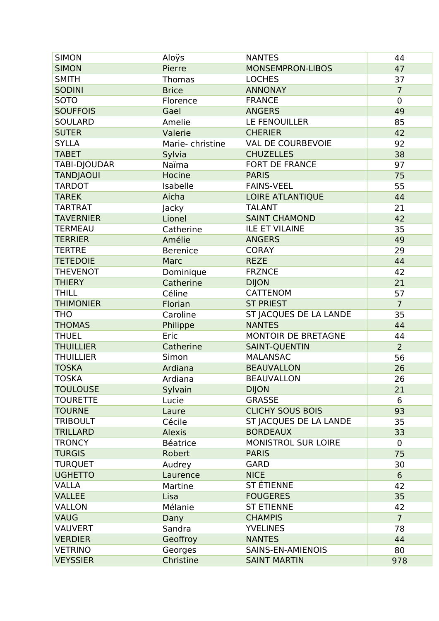| <b>SIMON</b>     | Aloÿs            | <b>NANTES</b>              | 44                   |
|------------------|------------------|----------------------------|----------------------|
| <b>SIMON</b>     | Pierre           | <b>MONSEMPRON-LIBOS</b>    | 47                   |
| <b>SMITH</b>     | <b>Thomas</b>    | <b>LOCHES</b>              | 37                   |
| <b>SODINI</b>    | <b>Brice</b>     | <b>ANNONAY</b>             | $\overline{7}$       |
| <b>SOTO</b>      | Florence         | <b>FRANCE</b>              | $\mathbf 0$          |
| <b>SOUFFOIS</b>  | Gael             | <b>ANGERS</b>              | 49                   |
| <b>SOULARD</b>   | Amelie           | LE FENOUILLER              | 85                   |
| <b>SUTER</b>     | Valerie          | <b>CHERIER</b>             | 42                   |
| <b>SYLLA</b>     | Marie-christine  | <b>VAL DE COURBEVOIE</b>   | 92                   |
| <b>TABET</b>     | Sylvia           | <b>CHUZELLES</b>           | 38                   |
| TABI-DJOUDAR     | Naïma            | <b>FORT DE FRANCE</b>      | 97                   |
| <b>TANDJAOUI</b> | Hocine           | <b>PARIS</b>               | 75                   |
| <b>TARDOT</b>    | Isabelle         | <b>FAINS-VEEL</b>          | 55                   |
| <b>TAREK</b>     | Aicha            | <b>LOIRE ATLANTIQUE</b>    | 44                   |
| <b>TARTRAT</b>   | Jacky            | <b>TALANT</b>              | 21                   |
| <b>TAVERNIER</b> | Lionel           | <b>SAINT CHAMOND</b>       | 42                   |
| <b>TERMEAU</b>   | Catherine        | <b>ILE ET VILAINE</b>      | 35                   |
| <b>TERRIER</b>   | Amélie           | <b>ANGERS</b>              | 49                   |
| <b>TERTRE</b>    | <b>Berenice</b>  | <b>CORAY</b>               | 29                   |
| <b>TETEDOIE</b>  | Marc             | <b>REZE</b>                | 44                   |
| <b>THEVENOT</b>  | Dominique        | <b>FRZNCE</b>              | 42                   |
| <b>THIERY</b>    | Catherine        | <b>DIJON</b>               | 21                   |
| <b>THILL</b>     | Céline           | <b>CATTENOM</b>            | 57                   |
| <b>THIMONIER</b> | Florian          | <b>ST PRIEST</b>           | $\overline{7}$       |
| <b>THO</b>       | Caroline         | ST JACQUES DE LA LANDE     | 35                   |
| <b>THOMAS</b>    |                  | <b>NANTES</b>              | 44                   |
| <b>THUEL</b>     | Philippe<br>Eric |                            |                      |
| <b>THUILLIER</b> |                  | MONTOIR DE BRETAGNE        | 44<br>$\overline{2}$ |
|                  | Catherine        | <b>SAINT-QUENTIN</b>       |                      |
| <b>THUILLIER</b> | Simon            | <b>MALANSAC</b>            | 56                   |
| <b>TOSKA</b>     | Ardiana          | <b>BEAUVALLON</b>          | 26                   |
| <b>TOSKA</b>     | Ardiana          | <b>BEAUVALLON</b>          | 26                   |
| <b>TOULOUSE</b>  | Sylvain          | <b>DIJON</b>               | 21                   |
| <b>TOURETTE</b>  | Lucie            | <b>GRASSE</b>              | 6                    |
| <b>TOURNE</b>    | Laure            | <b>CLICHY SOUS BOIS</b>    | 93                   |
| <b>TRIBOULT</b>  | Cécile           | ST JACQUES DE LA LANDE     | 35                   |
| <b>TRILLARD</b>  | <b>Alexis</b>    | <b>BORDEAUX</b>            | 33                   |
| <b>TRONCY</b>    | <b>Béatrice</b>  | <b>MONISTROL SUR LOIRE</b> | $\mathbf 0$          |
| <b>TURGIS</b>    | Robert           | <b>PARIS</b>               | 75                   |
| <b>TURQUET</b>   | Audrey           | <b>GARD</b>                | 30                   |
| <b>UGHETTO</b>   | Laurence         | <b>NICE</b>                | $6\phantom{1}$       |
| <b>VALLA</b>     | Martine          | ST ÉTIENNE                 | 42                   |
| <b>VALLEE</b>    | Lisa             | <b>FOUGERES</b>            | 35                   |
| <b>VALLON</b>    | Mélanie          | <b>ST ETIENNE</b>          | 42                   |
| <b>VAUG</b>      | Dany             | <b>CHAMPIS</b>             | $\overline{7}$       |
| <b>VAUVERT</b>   | Sandra           | <b>YVELINES</b>            | 78                   |
| <b>VERDIER</b>   | Geoffroy         | <b>NANTES</b>              | 44                   |
| <b>VETRINO</b>   | Georges          | SAINS-EN-AMIENOIS          | 80                   |
| <b>VEYSSIER</b>  | Christine        | <b>SAINT MARTIN</b>        | 978                  |